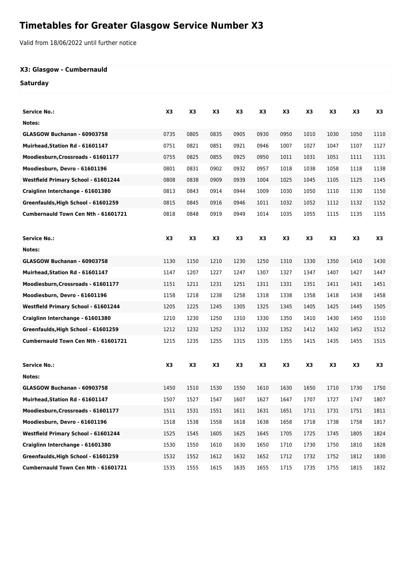# **Timetables for Greater Glasgow Service Number X3**

Valid from 18/06/2022 until further notice

#### **X3: Glasgow - Cumbernauld**

#### **Saturday**

| Service No.:                        | X3   | X <sub>3</sub> | X3   | X3             | X3             | X3   | X3   | X3   | X <sub>3</sub> | X3   |
|-------------------------------------|------|----------------|------|----------------|----------------|------|------|------|----------------|------|
| Notes:                              |      |                |      |                |                |      |      |      |                |      |
| GLASGOW Buchanan - 60903758         | 0735 | 0805           | 0835 | 0905           | 0930           | 0950 | 1010 | 1030 | 1050           | 1110 |
| Muirhead, Station Rd - 61601147     | 0751 | 0821           | 0851 | 0921           | 0946           | 1007 | 1027 | 1047 | 1107           | 1127 |
| Moodiesburn, Crossroads - 61601177  | 0755 | 0825           | 0855 | 0925           | 0950           | 1011 | 1031 | 1051 | 1111           | 1131 |
| Moodiesburn, Devro - 61601196       | 0801 | 0831           | 0902 | 0932           | 0957           | 1018 | 1038 | 1058 | 1118           | 1138 |
| Westfield Primary School - 61601244 | 0808 | 0838           | 0909 | 0939           | 1004           | 1025 | 1045 | 1105 | 1125           | 1145 |
| Craiglinn Interchange - 61601380    | 0813 | 0843           | 0914 | 0944           | 1009           | 1030 | 1050 | 1110 | 1130           | 1150 |
| Greenfaulds, High School - 61601259 | 0815 | 0845           | 0916 | 0946           | 1011           | 1032 | 1052 | 1112 | 1132           | 1152 |
| Cumbernauld Town Cen Nth - 61601721 | 0818 | 0848           | 0919 | 0949           | 1014           | 1035 | 1055 | 1115 | 1135           | 1155 |
|                                     |      |                |      |                |                |      |      |      |                |      |
| Service No.:                        | X3   | X3             | X3   | X <sub>3</sub> | X <sub>3</sub> | X3   | X3   | X3   | X3             | X3   |
| Notes:                              |      |                |      |                |                |      |      |      |                |      |
| GLASGOW Buchanan - 60903758         | 1130 | 1150           | 1210 | 1230           | 1250           | 1310 | 1330 | 1350 | 1410           | 1430 |
| Muirhead, Station Rd - 61601147     | 1147 | 1207           | 1227 | 1247           | 1307           | 1327 | 1347 | 1407 | 1427           | 1447 |
| Moodiesburn, Crossroads - 61601177  | 1151 | 1211           | 1231 | 1251           | 1311           | 1331 | 1351 | 1411 | 1431           | 1451 |
| Moodiesburn, Devro - 61601196       | 1158 | 1218           | 1238 | 1258           | 1318           | 1338 | 1358 | 1418 | 1438           | 1458 |
| Westfield Primary School - 61601244 | 1205 | 1225           | 1245 | 1305           | 1325           | 1345 | 1405 | 1425 | 1445           | 1505 |
| Craiglinn Interchange - 61601380    | 1210 | 1230           | 1250 | 1310           | 1330           | 1350 | 1410 | 1430 | 1450           | 1510 |
| Greenfaulds, High School - 61601259 | 1212 | 1232           | 1252 | 1312           | 1332           | 1352 | 1412 | 1432 | 1452           | 1512 |
| Cumbernauld Town Cen Nth - 61601721 | 1215 | 1235           | 1255 | 1315           | 1335           | 1355 | 1415 | 1435 | 1455           | 1515 |
| Service No.:                        | X3   | X3             | X3   | X <sub>3</sub> | X3             | X3   | X3   | X3   | X3             | X3   |
| Notes:                              |      |                |      |                |                |      |      |      |                |      |
| GLASGOW Buchanan - 60903758         | 1450 | 1510           | 1530 | 1550           | 1610           | 1630 | 1650 | 1710 | 1730           | 1750 |
| Muirhead, Station Rd - 61601147     | 1507 | 1527           | 1547 | 1607           | 1627           | 1647 | 1707 | 1727 | 1747           | 1807 |
| Moodiesburn, Crossroads - 61601177  | 1511 | 1531           | 1551 | 1611           | 1631           | 1651 | 1711 | 1731 | 1751           | 1811 |
| Moodiesburn, Devro - 61601196       | 1518 | 1538           | 1558 | 1618           | 1638           | 1658 | 1718 | 1738 | 1758           | 1817 |
| Westfield Primary School - 61601244 | 1525 | 1545           | 1605 | 1625           | 1645           | 1705 | 1725 | 1745 | 1805           | 1824 |
| Craiglinn Interchange - 61601380    | 1530 | 1550           | 1610 | 1630           | 1650           | 1710 | 1730 | 1750 | 1810           | 1828 |
| Greenfaulds, High School - 61601259 | 1532 | 1552           | 1612 | 1632           | 1652           | 1712 | 1732 | 1752 | 1812           | 1830 |
| Cumbernauld Town Cen Nth - 61601721 | 1535 | 1555           | 1615 | 1635           | 1655           | 1715 | 1735 | 1755 | 1815           | 1832 |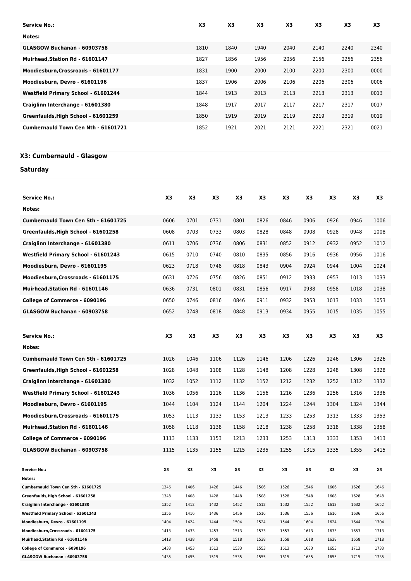| <b>Service No.:</b>                 | X <sub>3</sub> | X <sub>3</sub> | X <sub>3</sub> | X <sub>3</sub> | X <sub>3</sub> | X <sub>3</sub> | X <sub>3</sub> |
|-------------------------------------|----------------|----------------|----------------|----------------|----------------|----------------|----------------|
| Notes:                              |                |                |                |                |                |                |                |
| GLASGOW Buchanan - 60903758         | 1810           | 1840           | 1940           | 2040           | 2140           | 2240           | 2340           |
| Muirhead.Station Rd - 61601147      | 1827           | 1856           | 1956           | 2056           | 2156           | 2256           | 2356           |
| Moodiesburn, Crossroads - 61601177  | 1831           | 1900           | 2000           | 2100           | 2200           | 2300           | 0000           |
| Moodiesburn, Devro - 61601196       | 1837           | 1906           | 2006           | 2106           | 2206           | 2306           | 0006           |
| Westfield Primary School - 61601244 | 1844           | 1913           | 2013           | 2113           | 2213           | 2313           | 0013           |
| Craiglinn Interchange - 61601380    | 1848           | 1917           | 2017           | 2117           | 2217           | 2317           | 0017           |
| Greenfaulds, High School - 61601259 | 1850           | 1919           | 2019           | 2119           | 2219           | 2319           | 0019           |
| Cumbernauld Town Cen Nth - 61601721 | 1852           | 1921           | 2021           | 2121           | 2221           | 2321           | 0021           |

## **X3: Cumbernauld - Glasgow**

### **Saturday**

| <b>Service No.:</b>                 | X3             | X3   | X3   | X3   | X3   | X3   | X3   | X3   | X3   | X3   |
|-------------------------------------|----------------|------|------|------|------|------|------|------|------|------|
| Notes:                              |                |      |      |      |      |      |      |      |      |      |
| Cumbernauld Town Cen Sth - 61601725 | 0606           | 0701 | 0731 | 0801 | 0826 | 0846 | 0906 | 0926 | 0946 | 1006 |
| Greenfaulds, High School - 61601258 | 0608           | 0703 | 0733 | 0803 | 0828 | 0848 | 0908 | 0928 | 0948 | 1008 |
| Craiglinn Interchange - 61601380    | 0611           | 0706 | 0736 | 0806 | 0831 | 0852 | 0912 | 0932 | 0952 | 1012 |
| Westfield Primary School - 61601243 | 0615           | 0710 | 0740 | 0810 | 0835 | 0856 | 0916 | 0936 | 0956 | 1016 |
| Moodiesburn, Devro - 61601195       | 0623           | 0718 | 0748 | 0818 | 0843 | 0904 | 0924 | 0944 | 1004 | 1024 |
| Moodiesburn, Crossroads - 61601175  | 0631           | 0726 | 0756 | 0826 | 0851 | 0912 | 0933 | 0953 | 1013 | 1033 |
| Muirhead, Station Rd - 61601146     | 0636           | 0731 | 0801 | 0831 | 0856 | 0917 | 0938 | 0958 | 1018 | 1038 |
| College of Commerce - 6090196       | 0650           | 0746 | 0816 | 0846 | 0911 | 0932 | 0953 | 1013 | 1033 | 1053 |
| GLASGOW Buchanan - 60903758         | 0652           | 0748 | 0818 | 0848 | 0913 | 0934 | 0955 | 1015 | 1035 | 1055 |
|                                     |                |      |      |      |      |      |      |      |      |      |
|                                     |                |      |      |      |      |      |      |      |      |      |
| <b>Service No.:</b>                 | X <sub>3</sub> | X3   | X3   | X3   | X3   | X3   | X3   | X3   | X3   | X3   |
| Notes:                              |                |      |      |      |      |      |      |      |      |      |
| Cumbernauld Town Cen Sth - 61601725 | 1026           | 1046 | 1106 | 1126 | 1146 | 1206 | 1226 | 1246 | 1306 | 1326 |
| Greenfaulds, High School - 61601258 | 1028           | 1048 | 1108 | 1128 | 1148 | 1208 | 1228 | 1248 | 1308 | 1328 |
| Craiglinn Interchange - 61601380    | 1032           | 1052 | 1112 | 1132 | 1152 | 1212 | 1232 | 1252 | 1312 | 1332 |
| Westfield Primary School - 61601243 | 1036           | 1056 | 1116 | 1136 | 1156 | 1216 | 1236 | 1256 | 1316 | 1336 |
| Moodiesburn, Devro - 61601195       | 1044           | 1104 | 1124 | 1144 | 1204 | 1224 | 1244 | 1304 | 1324 | 1344 |
| Moodiesburn, Crossroads - 61601175  | 1053           | 1113 | 1133 | 1153 | 1213 | 1233 | 1253 | 1313 | 1333 | 1353 |
| Muirhead, Station Rd - 61601146     | 1058           | 1118 | 1138 | 1158 | 1218 | 1238 | 1258 | 1318 | 1338 | 1358 |
| College of Commerce - 6090196       | 1113           | 1133 | 1153 | 1213 | 1233 | 1253 | 1313 | 1333 | 1353 | 1413 |
| GLASGOW Buchanan - 60903758         | 1115           | 1135 | 1155 | 1215 | 1235 | 1255 | 1315 | 1335 | 1355 | 1415 |
|                                     |                |      |      |      |      |      |      |      |      |      |
| <b>Service No.:</b>                 | X3             | X3   | X3   | X3   | X3   | X3   | X3   | X3   | X3   | X3   |
| Notes:                              |                |      |      |      |      |      |      |      |      |      |
| Cumbernauld Town Cen Sth - 61601725 | 1346           | 1406 | 1426 | 1446 | 1506 | 1526 | 1546 | 1606 | 1626 | 1646 |
| Greenfaulds, High School - 61601258 | 1348           | 1408 | 1428 | 1448 | 1508 | 1528 | 1548 | 1608 | 1628 | 1648 |
| Craiglinn Interchange - 61601380    | 1352           | 1412 | 1432 | 1452 | 1512 | 1532 | 1552 | 1612 | 1632 | 1652 |
| Westfield Primary School - 61601243 | 1356           | 1416 | 1436 | 1456 | 1516 | 1536 | 1556 | 1616 | 1636 | 1656 |
| Moodiesburn, Devro - 61601195       | 1404           | 1424 | 1444 | 1504 | 1524 | 1544 | 1604 | 1624 | 1644 | 1704 |
| Moodiesburn, Crossroads - 61601175  | 1413           | 1433 | 1453 | 1513 | 1533 | 1553 | 1613 | 1633 | 1653 | 1713 |
| Muirhead, Station Rd - 61601146     | 1418           | 1438 | 1458 | 1518 | 1538 | 1558 | 1618 | 1638 | 1658 | 1718 |
| College of Commerce - 6090196       | 1433           | 1453 | 1513 | 1533 | 1553 | 1613 | 1633 | 1653 | 1713 | 1733 |
| GLASGOW Buchanan - 60903758         | 1435           | 1455 | 1515 | 1535 | 1555 | 1615 | 1635 | 1655 | 1715 | 1735 |